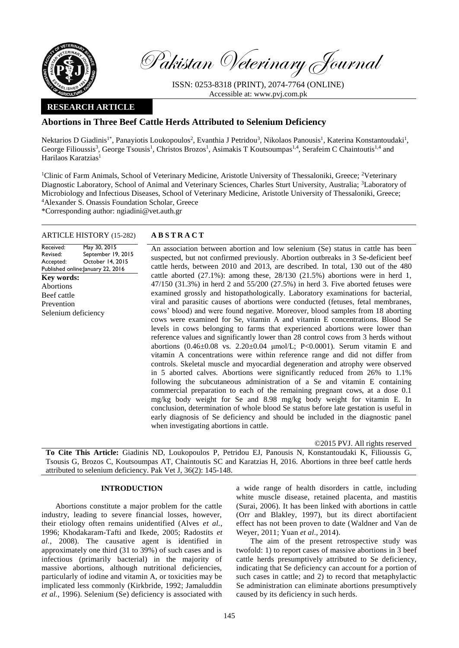

Pakistan Veterinary Journal

ISSN: 0253-8318 (PRINT), 2074-7764 (ONLINE) Accessible at: [www.pvj.com.pk](http://www.pvj.com.pk/)

## **RESEARCH ARTICLE**

# **Abortions in Three Beef Cattle Herds Attributed to Selenium Deficiency**

Nektarios D Giadinis<sup>1\*</sup>, Panayiotis Loukopoulos<sup>2</sup>, Evanthia J Petridou<sup>3</sup>, Nikolaos Panousis<sup>1</sup>, Katerina Konstantoudaki<sup>1</sup>, George Filioussis<sup>3</sup>, George Tsousis<sup>1</sup>, Christos Brozos<sup>1</sup>, Asimakis T Koutsoumpas<sup>1,4</sup>, Serafeim C Chaintoutis<sup>1,4</sup> and Harilaos Karatzias<sup>1</sup>

<sup>1</sup>Clinic of Farm Animals, School of Veterinary Medicine, Aristotle University of Thessaloniki, Greece; <sup>2</sup>Veterinary Diagnostic Laboratory, School of Animal and Veterinary Sciences, Charles Sturt University, Australia; <sup>3</sup>Laboratory of Microbiology and Infectious Diseases, School of Veterinary Medicine, Aristotle University of Thessaloniki, Greece; <sup>4</sup>Alexander S. Onassis Foundation Scholar, Greece

\*Corresponding author: ngiadini@vet.auth.gr

## ARTICLE HISTORY (15-282) **A B S T R A C T**

Received: Revised: Accepted: Published online: January 22, 2016 May 30, 2015 September 19, 2015 October 14, 2015 **Key words:**  Abortions Beef cattle Prevention Selenium deficiency

An association between abortion and low selenium (Se) status in cattle has been suspected, but not confirmed previously. Abortion outbreaks in 3 Se-deficient beef cattle herds, between 2010 and 2013, are described. In total, 130 out of the 480 cattle aborted  $(27.1\%)$ : among these,  $28/130$   $(21.5\%)$  abortions were in herd 1, 47/150 (31.3%) in herd 2 and 55/200 (27.5%) in herd 3. Five aborted fetuses were examined grossly and histopathologically. Laboratory examinations for bacterial, viral and parasitic causes of abortions were conducted (fetuses, fetal membranes, cows' blood) and were found negative. Moreover, blood samples from 18 aborting cows were examined for Se, vitamin A and vitamin E concentrations. Blood Se levels in cows belonging to farms that experienced abortions were lower than reference values and significantly lower than 28 control cows from 3 herds without abortions (0.46±0.08 vs. 2.20±0.04 μmol/L; P<0.0001). Serum vitamin E and vitamin A concentrations were within reference range and did not differ from controls. Skeletal muscle and myocardial degeneration and atrophy were observed in 5 aborted calves. Abortions were significantly reduced from 26% to 1.1% following the subcutaneous administration of a Se and vitamin E containing commercial preparation to each of the remaining pregnant cows, at a dose 0.1 mg/kg body weight for Se and 8.98 mg/kg body weight for vitamin E. In conclusion, determination of whole blood Se status before late gestation is useful in early diagnosis of Se deficiency and should be included in the diagnostic panel when investigating abortions in cattle.

©2015 PVJ. All rights reserved

**To Cite This Article:** Giadinis ND, Loukopoulos P, Petridou EJ, Panousis N, Konstantoudaki K, Filioussis G, Tsousis G, Brozos C, Koutsoumpas AT, Chaintoutis SC and Karatzias H, 2016. Abortions in three beef cattle herds attributed to selenium deficiency. Pak Vet J, 36(2): 145-148.

#### **INTRODUCTION**

Abortions constitute a major problem for the cattle industry, leading to severe financial losses, however, their etiology often remains unidentified (Alves *et al.*, 1996; Khodakaram-Tafti and Ikede, 2005; Radostits *et al.*, 2008). The causative agent is identified in approximately one third (31 to 39%) of such cases and is infectious (primarily bacterial) in the majority of massive abortions, although nutritional deficiencies, particularly of iodine and vitamin A, or toxicities may be implicated less commonly (Kirkbride, 1992; Jamaluddin *et al.*, 1996). Selenium (Se) deficiency is associated with a wide range of health disorders in cattle, including white muscle disease, retained placenta, and mastitis (Surai, 2006). It has been linked with abortions in cattle (Orr and Blakley, 1997), but its direct abortifacient effect has not been proven to date (Waldner and Van de Weyer, 2011; Yuan *et al*., 2014).

The aim of the present retrospective study was twofold: 1) to report cases of massive abortions in 3 beef cattle herds presumptively attributed to Se deficiency, indicating that Se deficiency can account for a portion of such cases in cattle; and 2) to record that metaphylactic Se administration can eliminate abortions presumptively caused by its deficiency in such herds.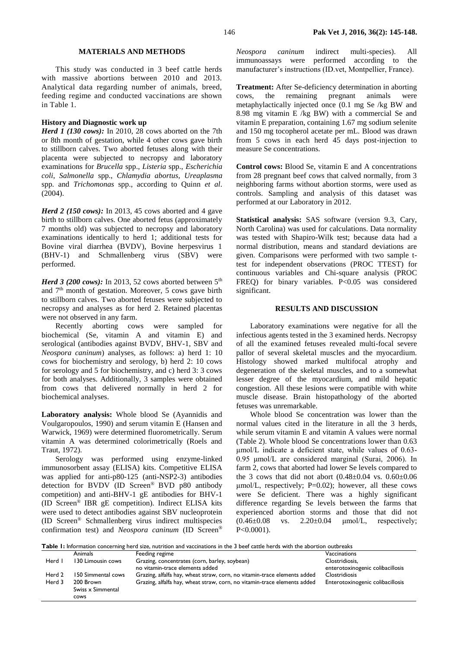#### **MATERIALS AND METHODS**

This study was conducted in 3 beef cattle herds with massive abortions between 2010 and 2013. Analytical data regarding number of animals, breed, feeding regime and conducted vaccinations are shown in Table 1.

### **History and Diagnostic work up**

*Herd 1 (130 cows):* In 2010, 28 cows aborted on the 7th or 8th month of gestation, while 4 other cows gave birth to stillborn calves. Two aborted fetuses along with their placenta were subjected to necropsy and laboratory examinations for *Brucella* spp., *Listeria* spp., *Escherichia coli*, *Salmonella* spp., *Chlamydia abortus*, *Ureaplasma*  spp*.* and *Trichomonas* spp., according to Quinn *et al*.  $(2004)$ .

*Herd 2 (150 cows):* In 2013, 45 cows aborted and 4 gave birth to stillborn calves. One aborted fetus (approximately 7 months old) was subjected to necropsy and laboratory examinations identically to herd 1; additional tests for Bovine viral diarrhea (BVDV), Bovine herpesvirus 1 (BHV-1) and Schmallenberg virus (SBV) were performed.

*Herd 3 (200 cows):* In 2013, 52 cows aborted between 5<sup>th</sup> and  $7<sup>th</sup>$  month of gestation. Moreover, 5 cows gave birth to stillborn calves. Two aborted fetuses were subjected to necropsy and analyses as for herd 2. Retained placentas were not observed in any farm.

Recently aborting cows were sampled for biochemical (Se, vitamin A and vitamin E) and serological (antibodies against BVDV, BHV-1, SBV and *Neospora caninum*) analyses, as follows: a) herd 1: 10 cows for biochemistry and serology, b) herd 2: 10 cows for serology and 5 for biochemistry, and c) herd 3: 3 cows for both analyses. Additionally, 3 samples were obtained from cows that delivered normally in herd 2 for biochemical analyses.

**Laboratory analysis:** Whole blood Se (Ayannidis and Voulgaropoulos, 1990) and serum vitamin E (Hansen and Warwick, 1969) were determined fluorometrically. Serum vitamin A was determined colorimetrically (Roels and Traut, 1972).

Serology was performed using enzyme-linked immunosorbent assay (ELISA) kits. Competitive ELISA was applied for anti-p80-125 (anti-NSP2-3) antibodies detection for BVDV (ID Screen® BVD p80 antibody competition) and anti-BHV-1 gE antibodies for BHV-1 (ID Screen® IBR gE competition). Indirect ELISA kits were used to detect antibodies against SBV nucleoprotein (ID Screen® Schmallenberg virus indirect multispecies confirmation test) and *Neospora caninum* (ID Screen®

*Neospora caninum* indirect multi-species). All immunoassays were performed according to the manufacturer's instructions (ID.vet, Montpellier, France).

**Treatment:** After Se-deficiency determination in aborting cows, the remaining pregnant animals were metaphylactically injected once (0.1 mg Se /kg BW and 8.98 mg vitamin E /kg BW) with a commercial Se and vitamin E preparation, containing 1.67 mg sodium selenite and 150 mg tocopherol acetate per mL. Blood was drawn from 5 cows in each herd 45 days post-injection to measure Se concentrations.

**Control cows:** Blood Se, vitamin E and A concentrations from 28 pregnant beef cows that calved normally, from 3 neighboring farms without abortion storms, were used as controls. Sampling and analysis of this dataset was performed at our Laboratory in 2012.

**Statistical analysis:** SAS software (version 9.3, Cary, North Carolina) was used for calculations. Data normality was tested with Shapiro-Wilk test; because data had a normal distribution, means and standard deviations are given. Comparisons were performed with two sample ttest for independent observations (PROC TTEST) for continuous variables and Chi-square analysis (PROC FREQ) for binary variables. P<0.05 was considered significant.

#### **RESULTS AND DISCUSSION**

Laboratory examinations were negative for all the infectious agents tested in the 3 examined herds. Necropsy of all the examined fetuses revealed multi-focal severe pallor of several skeletal muscles and the myocardium. Histology showed marked multifocal atrophy and degeneration of the skeletal muscles, and to a somewhat lesser degree of the myocardium, and mild hepatic congestion. All these lesions were compatible with white muscle disease. Brain histopathology of the aborted fetuses was unremarkable.

Whole blood Se concentration was lower than the normal values cited in the literature in all the 3 herds, while serum vitamin E and vitamin A values were normal (Table 2). Whole blood Se concentrations lower than 0.63 μmol/L indicate a deficient state, while values of 0.63- 0.95 μmol/L are considered marginal (Surai, 2006). In farm 2, cows that aborted had lower Se levels compared to the 3 cows that did not abort  $(0.48 \pm 0.04 \text{ vs. } 0.60 \pm 0.06 \text{ s})$  $\mu$ mol/L, respectively; P=0.02); however, all these cows were Se deficient. There was a highly significant difference regarding Se levels between the farms that experienced abortion storms and those that did not  $(0.46 \pm 0.08 \text{ vs. } 2.20 \pm 0.04 \text{ \mu} \text{mol/L}, \text{ respectively};$ P<0.0001).

| Table I: Information concerning herd size, nutrition and vaccinations in the 3 beef cattle herds with the abortion outbreaks |  |
|------------------------------------------------------------------------------------------------------------------------------|--|
|------------------------------------------------------------------------------------------------------------------------------|--|

|        | <b>Animals</b>     | Feeding regime                                                           | Vaccinations                     |
|--------|--------------------|--------------------------------------------------------------------------|----------------------------------|
| Herd I | 130 Limousin cows  | Grazing, concentrates (corn, barley, soybean)                            | Clostridiosis,                   |
|        |                    | no vitamin-trace elements added                                          | enterotoxinogenic colibacillosis |
| Herd 2 | 150 Simmental cows | Grazing, alfalfa hay, wheat straw, corn, no vitamin-trace elements added | <b>Clostridiosis</b>             |
| Herd 3 | 200 Brown          | Grazing, alfalfa hay, wheat straw, corn, no vitamin-trace elements added | Enterotoxinogenic colibacillosis |
|        | Swiss x Simmental  |                                                                          |                                  |
|        | <b>COWS</b>        |                                                                          |                                  |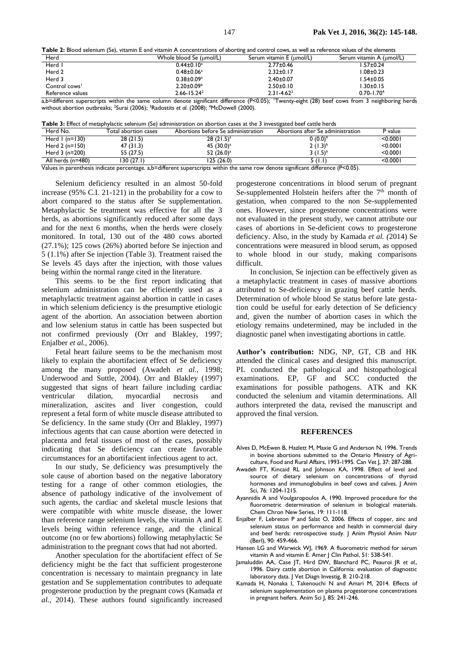**Table 2:** Blood selenium (Se), vitamin E and vitamin A concentrations of aborting and control cows, as well as reference values of the elements

| <u>. While we have belowed the station with the theorie of the second and the second of the second the second the second control of the second second the second second the second second the second second the second second th</u> |                         |                                 |                          |
|--------------------------------------------------------------------------------------------------------------------------------------------------------------------------------------------------------------------------------------|-------------------------|---------------------------------|--------------------------|
| Herd                                                                                                                                                                                                                                 | Whole blood Se (umol/L) | Serum vitamin E (µmol/L)        | Serum vitamin A (µmol/L) |
| Herd I                                                                                                                                                                                                                               | $0.44 \pm 0.10^a$       | $2.77 \pm 0.46$                 | I.57±0.24                |
| Herd 2                                                                                                                                                                                                                               | $0.48 \pm 0.06^a$       | $2.32 \pm 0.17$                 | $0.08 \pm 0.23$          |
| Herd 3                                                                                                                                                                                                                               | $0.38 \pm 0.09^a$       | $2.40 \pm 0.07$                 | $1.54 \pm 0.05$          |
| Control cows <sup>1</sup>                                                                                                                                                                                                            | $2.20 \pm 0.09^{\circ}$ | $2.50 \pm 0.10$                 | $1.30 \pm 0.15$          |
| Reference values                                                                                                                                                                                                                     | $2.66 - 15.24^2$        | $2.31 - 4.623$                  | $0.70 - 1.704$           |
| $\cdots$<br>.                                                                                                                                                                                                                        | $\cdots$                | $    -$<br>$\sim$ $\sim$ $\sim$ | .                        |

a,b=different superscripts within the same column denote significant difference (P<0.05); Twenty-eight (28) beef cows from 3 neighboring herds without abortion outbreaks; <sup>2</sup> Surai (2006); <sup>3</sup>Radostits *et al*. (2008); <sup>4</sup>McDowell (2000).

| Herd No.          | Total abortion cases | Abortions before Se administration | Abortions after Se administration | P value   |
|-------------------|----------------------|------------------------------------|-----------------------------------|-----------|
| Herd $1(n=130)$   | 28(21.5)             | $28(21.5)^{a}$                     | $0(0.0)^{b}$                      | $<$ 0.000 |
| Herd $2(n=150)$   | 47(31.3)             | 45 (30.0) <sup>a</sup>             | $2(1.3)^{b}$                      | $<$ 0.000 |
| Herd $3(n=200)$   | 55 (27.5)            | 52 (26.0) <sup>a</sup>             | 3 $(1.5)^{b}$                     | $<$ 0.000 |
| All herds (n=480) | 130 (27.1)           | 125 (26.0)                         | 5 (LI)                            | <0.0001   |

Values in parenthesis indicate percentage. a,b=different superscripts within the same row denote significant difference (P<0.05).

Selenium deficiency resulted in an almost 50-fold increase (95% C.I. 21-121) in the probability for a cow to abort compared to the status after Se supplementation. Metaphylactic Se treatment was effective for all the 3 herds, as abortions significantly reduced after some days and for the next 6 months, when the herds were closely monitored. In total, 130 out of the 480 cows aborted (27.1%); 125 cows (26%) aborted before Se injection and 5 (1.1%) after Se injection (Table 3). Treatment raised the Se levels 45 days after the injection, with those values being within the normal range cited in the literature.

This seems to be the first report indicating that selenium administration can be efficiently used as a metaphylactic treatment against abortion in cattle in cases in which selenium deficiency is the presumptive etiologic agent of the abortion. An association between abortion and low selenium status in cattle has been suspected but not confirmed previously (Orr and Blakley, 1997; Enjalber *et al.*, 2006).

Fetal heart failure seems to be the mechanism most likely to explain the abortifacient effect of Se deficiency among the many proposed (Awadeh *et al.*, 1998; Underwood and Suttle, 2004). Orr and Blakley (1997) suggested that signs of heart failure including cardiac ventricular dilation, myocardial necrosis and mineralization, ascites and liver congestion, could represent a fetal form of white muscle disease attributed to Se deficiency. In the same study (Orr and Blakley, 1997) infectious agents that can cause abortion were detected in placenta and fetal tissues of most of the cases, possibly indicating that Se deficiency can create favorable circumstances for an abortifacient infectious agent to act.

In our study, Se deficiency was presumptively the sole cause of abortion based on the negative laboratory testing for a range of other common etiologies, the absence of pathology indicative of the involvement of such agents, the cardiac and skeletal muscle lesions that were compatible with white muscle disease, the lower than reference range selenium levels, the vitamin A and E levels being within reference range, and the clinical outcome (no or few abortions) following metaphylactic Se administration to the pregnant cows that had not aborted.

Another speculation for the abortifacient effect of Se deficiency might be the fact that sufficient progesterone concentration is necessary to maintain pregnancy in late gestation and Se supplementation contributes to adequate progesterone production by the pregnant cows (Kamada *et al.*, 2014). These authors found significantly increased

progesterone concentrations in blood serum of pregnant Se-supplemented Holstein heifers after the 7<sup>th</sup> month of gestation, when compared to the non Se-supplemented ones. However, since progesterone concentrations were not evaluated in the present study, we cannot attribute our cases of abortions in Se-deficient cows to progesterone deficiency. Also, in the study by Kamada *et al. (*2014) Se concentrations were measured in blood serum, as opposed to whole blood in our study, making comparisons difficult.

In conclusion, Se injection can be effectively given as a metaphylactic treatment in cases of massive abortions attributed to Se-deficiency in grazing beef cattle herds. Determination of whole blood Se status before late gestation could be useful for early detection of Se deficiency and, given the number of abortion cases in which the etiology remains undetermined, may be included in the diagnostic panel when investigating abortions in cattle.

**Author's contribution:** NDG, NP, GT, CB and HK attended the clinical cases and designed this manuscript. PL conducted the pathological and histopathological examinations. EP, GF and SCC conducted the examinations for possible pathogens. ATK and KK conducted the selenium and vitamin determinations. All authors interpreted the data, revised the manuscript and approved the final version.

#### **REFERENCES**

- Alves D, McEwen B, Hazlett M, Maxie G and Anderson N, 1996. Trends in bovine abortions submitted to the Ontario Ministry of Agriculture, Food and Rural Affairs, 1993-1995. Can Vet J, 37: 287-288.
- Awadeh FT, Kincaid RL and Johnson KA, 1998. Effect of level and source of dietary selenium on concentrations of thyroid hormones and immunoglobulins in beef cows and calves. J Anim Sci, 76: 1204-1215.
- Ayannidis A and Voulgaropoulos A, 1990. Improved procedure for the fluorometric determination of selenium in biological materials. Chem Chron New Series, 19: 111-118.
- Enjalber F, Lebreton P and Salat O, 2006. Effects of copper, zinc and selenium status on performance and health in commercial dairy and beef herds: retrospective study. J Anim Physiol Anim Nutr (Berl), 90: 459-466.
- Hansen LG and Warwick WJ, 1969. A fluorometric method for serum vitamin A and vitamin E. Amer J Clin Pathol, 51: 538-541.
- Jamaluddin AA, Case JT, Hird DW, Blanchard PC, Peauroi JR *et al.*, 1996. Dairy cattle abortion in California: evaluation of diagnostic laboratory data. J Vet Diagn Investig, 8: 210-218.
- Kamada H, Nonaka I, Takenouchi N and Amari M, 2014. Effects of selenium supplementation on plasma progesterone concentrations in pregnant heifers. Anim Sci J, 85: 241-246.